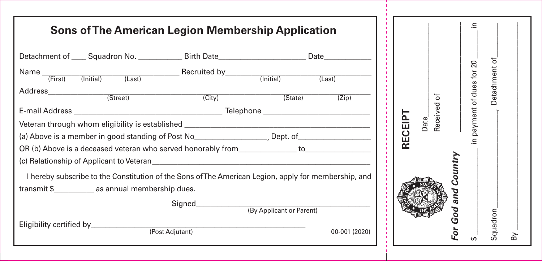| <b>Sons of The American Legion Membership Application</b>                                                                                                                                                                     |                   |                          |               |         |                  | 크.                     |            |   |
|-------------------------------------------------------------------------------------------------------------------------------------------------------------------------------------------------------------------------------|-------------------|--------------------------|---------------|---------|------------------|------------------------|------------|---|
| Detachment of _____ Squadron No. ______________ Birth Date ______________________ Date _____________                                                                                                                          |                   |                          |               |         |                  |                        | đ          |   |
| Name [First] (Initial) (Last) Recruited by [Initial) (Last)                                                                                                                                                                   |                   |                          |               |         |                  | payment of dues for 20 | Detachment |   |
| (Street)                                                                                                                                                                                                                      | $\overline{City}$ | (State)                  | (Zip)         |         | ৳                |                        |            |   |
|                                                                                                                                                                                                                               |                   |                          |               |         | Date<br>Received |                        |            |   |
| Veteran through whom eligibility is established _________________________________                                                                                                                                             |                   |                          |               | RECEIPT |                  |                        |            |   |
|                                                                                                                                                                                                                               |                   |                          |               |         |                  | Ξ.                     |            |   |
| OR (b) Above is a deceased veteran who served honorably from the to                                                                                                                                                           |                   |                          |               |         |                  |                        |            |   |
| (c) Relationship of Applicant to Veteran entries and the control of the control of the control of the control of the control of the control of the control of the control of the control of the control of the control of the |                   |                          |               |         |                  |                        |            |   |
| I hereby subscribe to the Constitution of the Sons of The American Legion, apply for membership, and                                                                                                                          |                   |                          |               |         |                  |                        |            |   |
| transmit \$_________________ as annual membership dues.                                                                                                                                                                       |                   |                          |               |         |                  |                        |            |   |
|                                                                                                                                                                                                                               |                   |                          |               |         |                  |                        |            |   |
|                                                                                                                                                                                                                               |                   | (By Applicant or Parent) |               |         |                  | o<br>Ó<br>ღ            |            |   |
|                                                                                                                                                                                                                               | (Post Adjutant)   |                          | 00-001 (2020) |         |                  |                        | Squadron   | m |